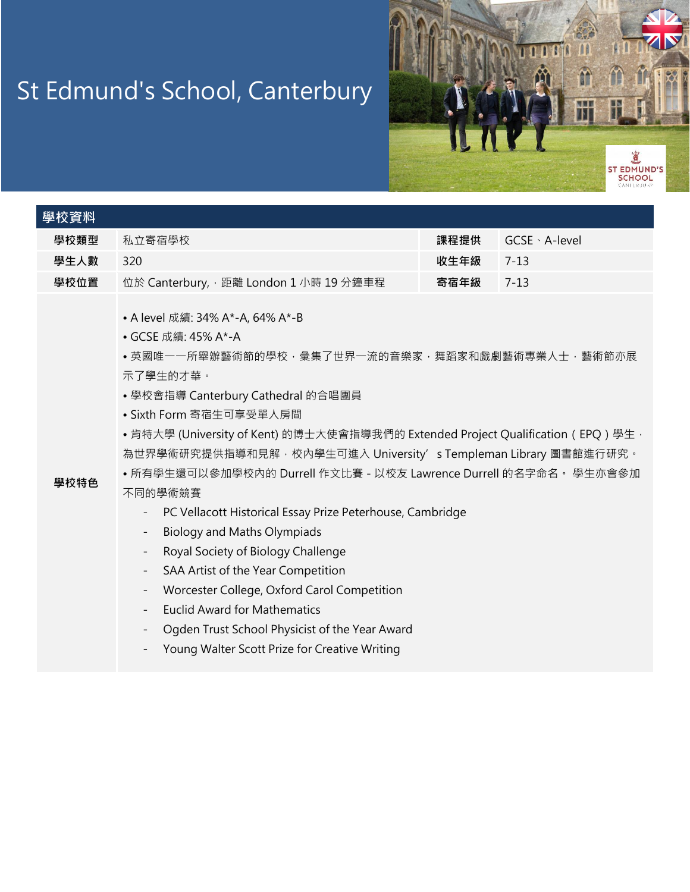## St Edmund's School, Canterbury



| 學校資料 |                                                                                                                                                                                                                                                                                                                                                                                                                                                                                                                                                                                                                                                                                                                                                                                                                                                                                                                                                                                                                |      |                |  |  |  |  |  |
|------|----------------------------------------------------------------------------------------------------------------------------------------------------------------------------------------------------------------------------------------------------------------------------------------------------------------------------------------------------------------------------------------------------------------------------------------------------------------------------------------------------------------------------------------------------------------------------------------------------------------------------------------------------------------------------------------------------------------------------------------------------------------------------------------------------------------------------------------------------------------------------------------------------------------------------------------------------------------------------------------------------------------|------|----------------|--|--|--|--|--|
| 學校類型 | 私立寄宿學校                                                                                                                                                                                                                                                                                                                                                                                                                                                                                                                                                                                                                                                                                                                                                                                                                                                                                                                                                                                                         | 課程提供 | GCSE · A-level |  |  |  |  |  |
| 學生人數 | 320                                                                                                                                                                                                                                                                                                                                                                                                                                                                                                                                                                                                                                                                                                                                                                                                                                                                                                                                                                                                            | 收生年級 | $7 - 13$       |  |  |  |  |  |
| 學校位置 | 位於 Canterbury, · 距離 London 1 小時 19 分鐘車程                                                                                                                                                                                                                                                                                                                                                                                                                                                                                                                                                                                                                                                                                                                                                                                                                                                                                                                                                                        | 寄宿年級 | $7 - 13$       |  |  |  |  |  |
| 學校特色 | • A level 成績: 34% A*-A, 64% A*-B<br>• GCSE 成績: 45% A*-A<br>• 英國唯一一所舉辦藝術節的學校 · 彙集了世界一流的音樂家 · 舞蹈家和戲劇藝術專業人士 · 藝術節亦展<br>示了學生的才華。<br>• 學校會指導 Canterbury Cathedral 的合唱團員<br>• Sixth Form 寄宿生可享受單人房間<br>•肯特大學 (University of Kent) 的博士大使會指導我們的 Extended Project Qualification (EPQ) 學生 ·<br>為世界學術研究提供指導和見解‧校內學生可進入 University's Templeman Library 圖書館進行研究。<br>• 所有學生還可以參加學校內的 Durrell 作文比賽 - 以校友 Lawrence Durrell 的名字命名。學生亦會參加<br>不同的學術競賽<br>PC Vellacott Historical Essay Prize Peterhouse, Cambridge<br>$\overline{\phantom{a}}$<br><b>Biology and Maths Olympiads</b><br>$\overline{\phantom{a}}$<br>Royal Society of Biology Challenge<br>$\overline{\phantom{a}}$<br>SAA Artist of the Year Competition<br>$\overline{\phantom{a}}$<br>Worcester College, Oxford Carol Competition<br>$\overline{\phantom{a}}$<br><b>Euclid Award for Mathematics</b><br>$\overline{\phantom{a}}$<br>Ogden Trust School Physicist of the Year Award<br>$\overline{\phantom{a}}$<br>Young Walter Scott Prize for Creative Writing |      |                |  |  |  |  |  |